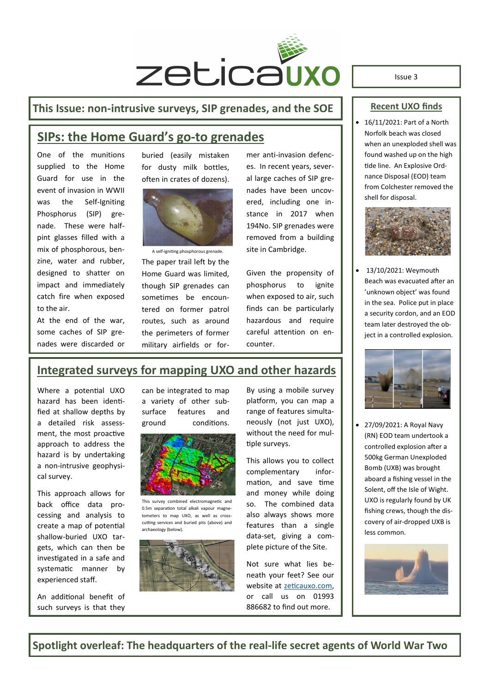

#### **This Issue: non-intrusive surveys, SIP grenades, and the SOE**

## **SIPs: the Home Guard's go-to grenades**

One of the munitions supplied to the Home Guard for use in the event of invasion in WWII was the Self-Igniting Phosphorus (SIP) grenade. These were halfpint glasses filled with a mix of phosphorous, benzine, water and rubber, designed to shatter on impact and immediately catch fire when exposed to the air.

At the end of the war, some caches of SIP grenades were discarded or buried (easily mistaken for dusty milk bottles, often in crates of dozens).



A self-igniting phosphorous grenade.

The paper trail left by the Home Guard was limited, though SIP grenades can sometimes be encountered on former patrol routes, such as around the perimeters of former military airfields or former anti-invasion defences. In recent years, several large caches of SIP grenades have been uncovered, including one instance in 2017 when 194No. SIP grenades were removed from a building site in Cambridge.

Given the propensity of phosphorus to ignite when exposed to air, such finds can be particularly hazardous and require careful attention on encounter.

#### **Recent UXO finds**

Issue 3

• 16/11/2021: Part of a North Norfolk beach was closed when an unexploded shell was found washed up on the high tide line. An Explosive Ordnance Disposal (EOD) team from Colchester removed the shell for disposal.



• 13/10/2021: Weymouth Beach was evacuated after an 'unknown object' was found in the sea. Police put in place a security cordon, and an EOD team later destroyed the object in a controlled explosion.



• 27/09/2021: A Royal Navy (RN) EOD team undertook a controlled explosion after a 500kg German Unexploded Bomb (UXB) was brought aboard a fishing vessel in the Solent, off the Isle of Wight. UXO is regularly found by UK fishing crews, though the discovery of air-dropped UXB is less common.



#### **Integrated surveys for mapping UXO and other hazards**

Where a potential UXO hazard has been identified at shallow depths by a detailed risk assessment, the most proactive approach to address the hazard is by undertaking a non-intrusive geophysical survey.

This approach allows for back office data processing and analysis to create a map of potential shallow-buried UXO targets, which can then be investigated in a safe and systematic manner by experienced staff.

An additional benefit of such surveys is that they can be integrated to map a variety of other subsurface features and ground conditions.



This survey combined electromagnetic and 0.5m separation total alkali vapour magnetometers to map UXO, as well as crosscutting services and buried pits (above) and archaeology (below).



By using a mobile survey platform, you can map a range of features simultaneously (not just UXO). without the need for multiple surveys.

This allows you to collect complementary information, and save time and money while doing so. The combined data also always shows more features than a single data-set, giving a complete picture of the Site.

Not sure what lies beneath your feet? See our website at [zeticauxo.com,](zeticauxo.com) or call us on 01993 886682 to find out more.

**Spotlight overleaf: The headquarters of the real-life secret agents of World War Two**